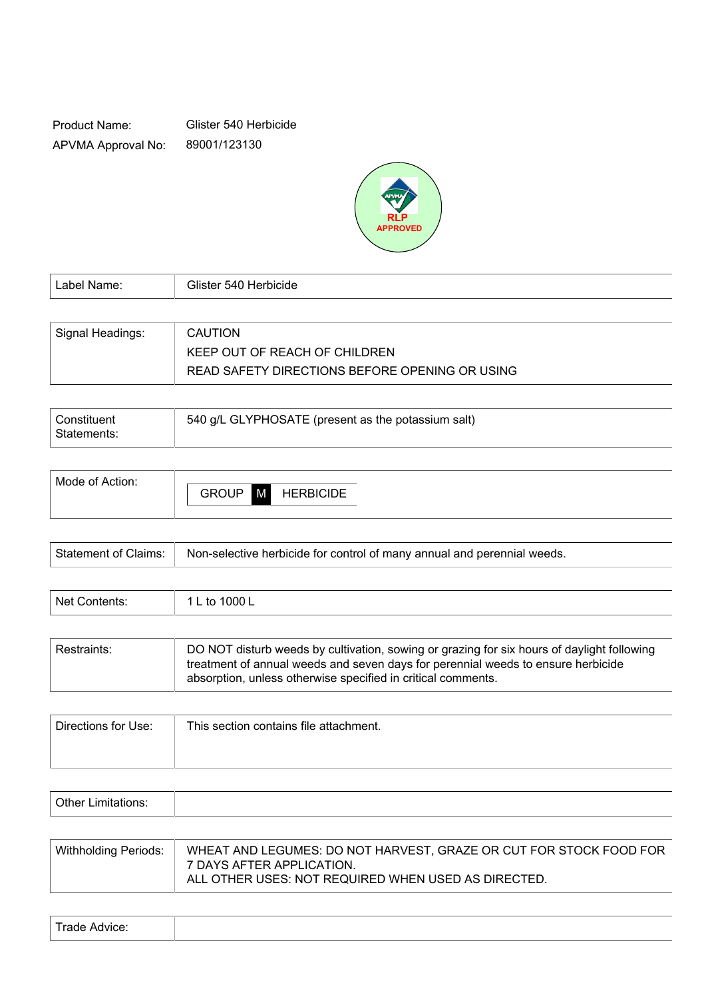Product Name: APVMA Approval No: Glister 540 Herbicide 89001/123130



| l Label Name: l  | Glister 540 Herbicide                          |
|------------------|------------------------------------------------|
|                  |                                                |
| Signal Headings: | <b>CAUTION</b>                                 |
|                  | KEEP OUT OF REACH OF CHILDREN                  |
|                  | READ SAFETY DIRECTIONS BEFORE OPENING OR USING |

| <b>Constituent</b> | 540 g/L GLYPHOSATE (present as the potassium salt) |
|--------------------|----------------------------------------------------|
| l Statements:      |                                                    |

| <b>HERBICIDE</b> |
|------------------|
|                  |

| Statement of Claims:   Non-selective herbicide for control of many annual and perennial weeds. |
|------------------------------------------------------------------------------------------------|
|                                                                                                |

| Net Contents: | 1000 L<br>tc |
|---------------|--------------|
|               |              |

| Restraints: | DO NOT disturb weeds by cultivation, sowing or grazing for six hours of daylight following<br>treatment of annual weeds and seven days for perennial weeds to ensure herbicide<br>absorption, unless otherwise specified in critical comments. |
|-------------|------------------------------------------------------------------------------------------------------------------------------------------------------------------------------------------------------------------------------------------------|
|             |                                                                                                                                                                                                                                                |

| Directions for Use: | This section contains file attachment. |
|---------------------|----------------------------------------|
|                     |                                        |
|                     |                                        |

| .<br>$\mathbf{v}$<br>. |  |  |
|------------------------|--|--|
|                        |  |  |

| Withholding Periods: | WHEAT AND LEGUMES: DO NOT HARVEST, GRAZE OR CUT FOR STOCK FOOD FOR<br>7 DAYS AFTER APPLICATION.<br>ALL OTHER USES: NOT REQUIRED WHEN USED AS DIRECTED. |
|----------------------|--------------------------------------------------------------------------------------------------------------------------------------------------------|
|----------------------|--------------------------------------------------------------------------------------------------------------------------------------------------------|

| Trade Advice: |  |
|---------------|--|
|               |  |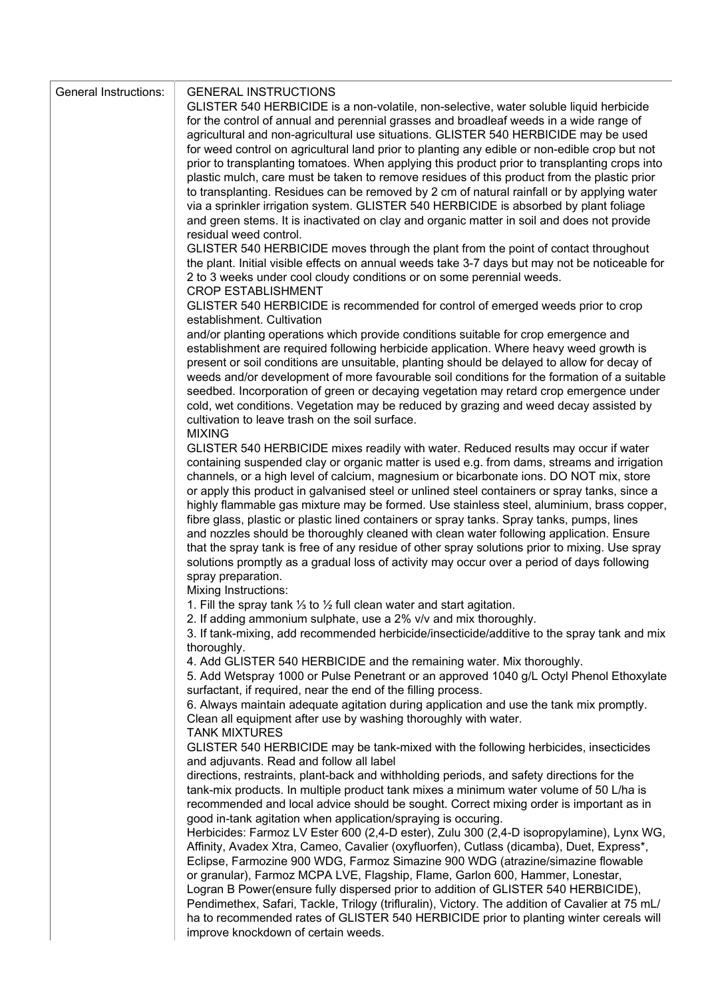| <b>General Instructions:</b> | <b>GENERAL INSTRUCTIONS</b>                                                                                                                                                                |
|------------------------------|--------------------------------------------------------------------------------------------------------------------------------------------------------------------------------------------|
|                              | GLISTER 540 HERBICIDE is a non-volatile, non-selective, water soluble liquid herbicide                                                                                                     |
|                              | for the control of annual and perennial grasses and broadleaf weeds in a wide range of                                                                                                     |
|                              | agricultural and non-agricultural use situations. GLISTER 540 HERBICIDE may be used                                                                                                        |
|                              | for weed control on agricultural land prior to planting any edible or non-edible crop but not                                                                                              |
|                              | prior to transplanting tomatoes. When applying this product prior to transplanting crops into                                                                                              |
|                              | plastic mulch, care must be taken to remove residues of this product from the plastic prior<br>to transplanting. Residues can be removed by 2 cm of natural rainfall or by applying water  |
|                              | via a sprinkler irrigation system. GLISTER 540 HERBICIDE is absorbed by plant foliage                                                                                                      |
|                              | and green stems. It is inactivated on clay and organic matter in soil and does not provide                                                                                                 |
|                              | residual weed control.                                                                                                                                                                     |
|                              | GLISTER 540 HERBICIDE moves through the plant from the point of contact throughout                                                                                                         |
|                              | the plant. Initial visible effects on annual weeds take 3-7 days but may not be noticeable for                                                                                             |
|                              | 2 to 3 weeks under cool cloudy conditions or on some perennial weeds.                                                                                                                      |
|                              | <b>CROP ESTABLISHMENT</b>                                                                                                                                                                  |
|                              | GLISTER 540 HERBICIDE is recommended for control of emerged weeds prior to crop                                                                                                            |
|                              | establishment. Cultivation                                                                                                                                                                 |
|                              | and/or planting operations which provide conditions suitable for crop emergence and<br>establishment are required following herbicide application. Where heavy weed growth is              |
|                              | present or soil conditions are unsuitable, planting should be delayed to allow for decay of                                                                                                |
|                              | weeds and/or development of more favourable soil conditions for the formation of a suitable                                                                                                |
|                              | seedbed. Incorporation of green or decaying vegetation may retard crop emergence under                                                                                                     |
|                              | cold, wet conditions. Vegetation may be reduced by grazing and weed decay assisted by                                                                                                      |
|                              | cultivation to leave trash on the soil surface.                                                                                                                                            |
|                              | <b>MIXING</b>                                                                                                                                                                              |
|                              | GLISTER 540 HERBICIDE mixes readily with water. Reduced results may occur if water                                                                                                         |
|                              | containing suspended clay or organic matter is used e.g. from dams, streams and irrigation                                                                                                 |
|                              | channels, or a high level of calcium, magnesium or bicarbonate ions. DO NOT mix, store                                                                                                     |
|                              | or apply this product in galvanised steel or unlined steel containers or spray tanks, since a<br>highly flammable gas mixture may be formed. Use stainless steel, aluminium, brass copper, |
|                              | fibre glass, plastic or plastic lined containers or spray tanks. Spray tanks, pumps, lines                                                                                                 |
|                              | and nozzles should be thoroughly cleaned with clean water following application. Ensure                                                                                                    |
|                              | that the spray tank is free of any residue of other spray solutions prior to mixing. Use spray                                                                                             |
|                              | solutions promptly as a gradual loss of activity may occur over a period of days following                                                                                                 |
|                              | spray preparation.                                                                                                                                                                         |
|                              | Mixing Instructions:                                                                                                                                                                       |
|                              | 1. Fill the spray tank $\frac{1}{3}$ to $\frac{1}{2}$ full clean water and start agitation.                                                                                                |
|                              | 2. If adding ammonium sulphate, use a 2% v/v and mix thoroughly.                                                                                                                           |
|                              | 3. If tank-mixing, add recommended herbicide/insecticide/additive to the spray tank and mix<br>thoroughly.                                                                                 |
|                              | 4. Add GLISTER 540 HERBICIDE and the remaining water. Mix thoroughly.                                                                                                                      |
|                              | 5. Add Wetspray 1000 or Pulse Penetrant or an approved 1040 g/L Octyl Phenol Ethoxylate                                                                                                    |
|                              | surfactant, if required, near the end of the filling process.                                                                                                                              |
|                              | 6. Always maintain adequate agitation during application and use the tank mix promptly.                                                                                                    |
|                              | Clean all equipment after use by washing thoroughly with water.                                                                                                                            |
|                              | <b>TANK MIXTURES</b>                                                                                                                                                                       |
|                              | GLISTER 540 HERBICIDE may be tank-mixed with the following herbicides, insecticides                                                                                                        |
|                              | and adjuvants. Read and follow all label                                                                                                                                                   |
|                              | directions, restraints, plant-back and withholding periods, and safety directions for the<br>tank-mix products. In multiple product tank mixes a minimum water volume of 50 L/ha is        |
|                              | recommended and local advice should be sought. Correct mixing order is important as in                                                                                                     |
|                              | good in-tank agitation when application/spraying is occuring.                                                                                                                              |
|                              | Herbicides: Farmoz LV Ester 600 (2,4-D ester), Zulu 300 (2,4-D isopropylamine), Lynx WG,                                                                                                   |
|                              | Affinity, Avadex Xtra, Cameo, Cavalier (oxyfluorfen), Cutlass (dicamba), Duet, Express*,                                                                                                   |
|                              | Eclipse, Farmozine 900 WDG, Farmoz Simazine 900 WDG (atrazine/simazine flowable                                                                                                            |
|                              | or granular), Farmoz MCPA LVE, Flagship, Flame, Garlon 600, Hammer, Lonestar,                                                                                                              |
|                              | Logran B Power(ensure fully dispersed prior to addition of GLISTER 540 HERBICIDE),                                                                                                         |
|                              | Pendimethex, Safari, Tackle, Trilogy (trifluralin), Victory. The addition of Cavalier at 75 mL/                                                                                            |
|                              | ha to recommended rates of GLISTER 540 HERBICIDE prior to planting winter cereals will                                                                                                     |
|                              | improve knockdown of certain weeds.                                                                                                                                                        |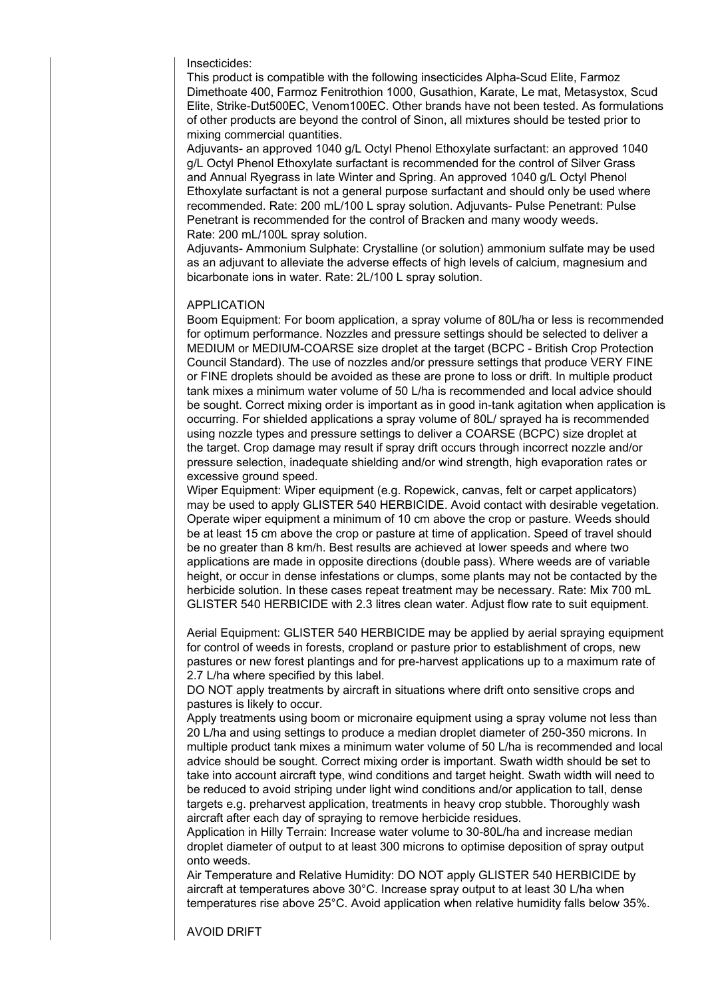Insecticides:

This product is compatible with the following insecticides Alpha-Scud Elite, Farmoz Dimethoate 400, Farmoz Fenitrothion 1000, Gusathion, Karate, Le mat, Metasystox, Scud Elite, Strike-Dut500EC, Venom100EC. Other brands have not been tested. As formulations of other products are beyond the control of Sinon, all mixtures should be tested prior to mixing commercial quantities.

Adjuvants- an approved 1040 g/L Octyl Phenol Ethoxylate surfactant: an approved 1040 g/L Octyl Phenol Ethoxylate surfactant is recommended for the control of Silver Grass and Annual Ryegrass in late Winter and Spring. An approved 1040 g/L Octyl Phenol Ethoxylate surfactant is not a general purpose surfactant and should only be used where recommended. Rate: 200 mL/100 L spray solution. Adjuvants- Pulse Penetrant: Pulse Penetrant is recommended for the control of Bracken and many woody weeds. Rate: 200 mL/100L spray solution.

Adjuvants- Ammonium Sulphate: Crystalline (or solution) ammonium sulfate may be used as an adjuvant to alleviate the adverse effects of high levels of calcium, magnesium and bicarbonate ions in water. Rate: 2L/100 L spray solution.

### APPLICATION

Boom Equipment: For boom application, a spray volume of 80L/ha or less is recommended for optimum performance. Nozzles and pressure settings should be selected to deliver a MEDIUM or MEDIUM-COARSE size droplet at the target (BCPC - British Crop Protection Council Standard). The use of nozzles and/or pressure settings that produce VERY FINE or FINE droplets should be avoided as these are prone to loss or drift. In multiple product tank mixes a minimum water volume of 50 L/ha is recommended and local advice should be sought. Correct mixing order is important as in good in-tank agitation when application is occurring. For shielded applications a spray volume of 80L/ sprayed ha is recommended using nozzle types and pressure settings to deliver a COARSE (BCPC) size droplet at the target. Crop damage may result if spray drift occurs through incorrect nozzle and/or pressure selection, inadequate shielding and/or wind strength, high evaporation rates or excessive ground speed.

Wiper Equipment: Wiper equipment (e.g. Ropewick, canvas, felt or carpet applicators) may be used to apply GLISTER 540 HERBICIDE. Avoid contact with desirable vegetation. Operate wiper equipment a minimum of 10 cm above the crop or pasture. Weeds should be at least 15 cm above the crop or pasture at time of application. Speed of travel should be no greater than 8 km/h. Best results are achieved at lower speeds and where two applications are made in opposite directions (double pass). Where weeds are of variable height, or occur in dense infestations or clumps, some plants may not be contacted by the herbicide solution. In these cases repeat treatment may be necessary. Rate: Mix 700 mL GLISTER 540 HERBICIDE with 2.3 litres clean water. Adjust flow rate to suit equipment.

Aerial Equipment: GLISTER 540 HERBICIDE may be applied by aerial spraying equipment for control of weeds in forests, cropland or pasture prior to establishment of crops, new pastures or new forest plantings and for pre-harvest applications up to a maximum rate of 2.7 L/ha where specified by this label.

DO NOT apply treatments by aircraft in situations where drift onto sensitive crops and pastures is likely to occur.

Apply treatments using boom or micronaire equipment using a spray volume not less than 20 L/ha and using settings to produce a median droplet diameter of 250-350 microns. In multiple product tank mixes a minimum water volume of 50 L/ha is recommended and local advice should be sought. Correct mixing order is important. Swath width should be set to take into account aircraft type, wind conditions and target height. Swath width will need to be reduced to avoid striping under light wind conditions and/or application to tall, dense targets e.g. preharvest application, treatments in heavy crop stubble. Thoroughly wash aircraft after each day of spraying to remove herbicide residues.

Application in Hilly Terrain: Increase water volume to 30-80L/ha and increase median droplet diameter of output to at least 300 microns to optimise deposition of spray output onto weeds.

Air Temperature and Relative Humidity: DO NOT apply GLISTER 540 HERBICIDE by aircraft at temperatures above 30°C. Increase spray output to at least 30 L/ha when temperatures rise above 25°C. Avoid application when relative humidity falls below 35%.

AVOID DRIFT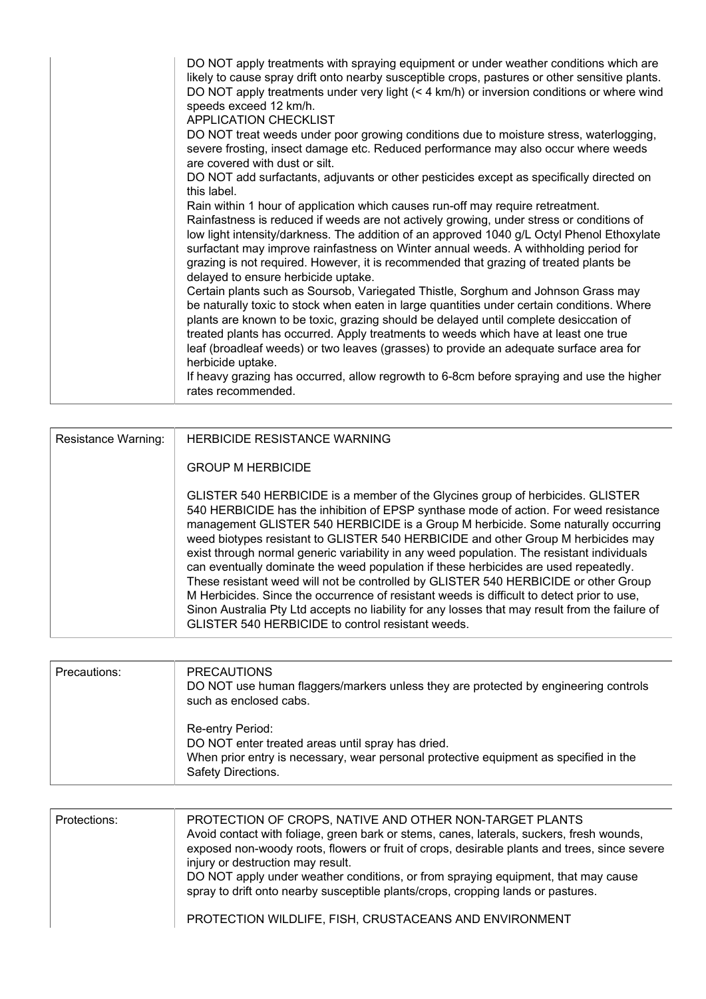| DO NOT apply treatments with spraying equipment or under weather conditions which are<br>likely to cause spray drift onto nearby susceptible crops, pastures or other sensitive plants.<br>DO NOT apply treatments under very light (< 4 km/h) or inversion conditions or where wind<br>speeds exceed 12 km/h.<br><b>APPLICATION CHECKLIST</b><br>DO NOT treat weeds under poor growing conditions due to moisture stress, waterlogging,<br>severe frosting, insect damage etc. Reduced performance may also occur where weeds<br>are covered with dust or silt.<br>DO NOT add surfactants, adjuvants or other pesticides except as specifically directed on<br>this label.<br>Rain within 1 hour of application which causes run-off may require retreatment.<br>Rainfastness is reduced if weeds are not actively growing, under stress or conditions of<br>low light intensity/darkness. The addition of an approved 1040 g/L Octyl Phenol Ethoxylate<br>surfactant may improve rainfastness on Winter annual weeds. A withholding period for<br>grazing is not required. However, it is recommended that grazing of treated plants be<br>delayed to ensure herbicide uptake.<br>Certain plants such as Soursob, Variegated Thistle, Sorghum and Johnson Grass may<br>be naturally toxic to stock when eaten in large quantities under certain conditions. Where<br>plants are known to be toxic, grazing should be delayed until complete desiccation of<br>treated plants has occurred. Apply treatments to weeds which have at least one true<br>leaf (broadleaf weeds) or two leaves (grasses) to provide an adequate surface area for |
|-----------------------------------------------------------------------------------------------------------------------------------------------------------------------------------------------------------------------------------------------------------------------------------------------------------------------------------------------------------------------------------------------------------------------------------------------------------------------------------------------------------------------------------------------------------------------------------------------------------------------------------------------------------------------------------------------------------------------------------------------------------------------------------------------------------------------------------------------------------------------------------------------------------------------------------------------------------------------------------------------------------------------------------------------------------------------------------------------------------------------------------------------------------------------------------------------------------------------------------------------------------------------------------------------------------------------------------------------------------------------------------------------------------------------------------------------------------------------------------------------------------------------------------------------------------------------------------------------------------------------------------------------|
| herbicide uptake.<br>If heavy grazing has occurred, allow regrowth to 6-8cm before spraying and use the higher<br>rates recommended.                                                                                                                                                                                                                                                                                                                                                                                                                                                                                                                                                                                                                                                                                                                                                                                                                                                                                                                                                                                                                                                                                                                                                                                                                                                                                                                                                                                                                                                                                                          |

| Resistance Warning: | <b>HERBICIDE RESISTANCE WARNING</b>                                                                                                                                                                                                                                                                                                                                                                                                                                                                                                                                                                                                                                                                                                                                                                                                                                                  |
|---------------------|--------------------------------------------------------------------------------------------------------------------------------------------------------------------------------------------------------------------------------------------------------------------------------------------------------------------------------------------------------------------------------------------------------------------------------------------------------------------------------------------------------------------------------------------------------------------------------------------------------------------------------------------------------------------------------------------------------------------------------------------------------------------------------------------------------------------------------------------------------------------------------------|
|                     | <b>GROUP M HERBICIDE</b>                                                                                                                                                                                                                                                                                                                                                                                                                                                                                                                                                                                                                                                                                                                                                                                                                                                             |
|                     | GLISTER 540 HERBICIDE is a member of the Glycines group of herbicides. GLISTER<br>540 HERBICIDE has the inhibition of EPSP synthase mode of action. For weed resistance<br>management GLISTER 540 HERBICIDE is a Group M herbicide. Some naturally occurring<br>weed biotypes resistant to GLISTER 540 HERBICIDE and other Group M herbicides may<br>exist through normal generic variability in any weed population. The resistant individuals<br>can eventually dominate the weed population if these herbicides are used repeatedly.<br>These resistant weed will not be controlled by GLISTER 540 HERBICIDE or other Group<br>M Herbicides. Since the occurrence of resistant weeds is difficult to detect prior to use,<br>Sinon Australia Pty Ltd accepts no liability for any losses that may result from the failure of<br>GLISTER 540 HERBICIDE to control resistant weeds. |

| Precautions: | <b>PRECAUTIONS</b><br>DO NOT use human flaggers/markers unless they are protected by engineering controls<br>such as enclosed cabs.                                                  |  |  |  |
|--------------|--------------------------------------------------------------------------------------------------------------------------------------------------------------------------------------|--|--|--|
|              | Re-entry Period:<br>DO NOT enter treated areas until spray has dried.<br>When prior entry is necessary, wear personal protective equipment as specified in the<br>Safety Directions. |  |  |  |

| Protections: | PROTECTION OF CROPS, NATIVE AND OTHER NON-TARGET PLANTS<br>Avoid contact with foliage, green bark or stems, canes, laterals, suckers, fresh wounds,<br>exposed non-woody roots, flowers or fruit of crops, desirable plants and trees, since severe<br>injury or destruction may result.<br>DO NOT apply under weather conditions, or from spraying equipment, that may cause<br>spray to drift onto nearby susceptible plants/crops, cropping lands or pastures. |
|--------------|-------------------------------------------------------------------------------------------------------------------------------------------------------------------------------------------------------------------------------------------------------------------------------------------------------------------------------------------------------------------------------------------------------------------------------------------------------------------|
|              | PROTECTION WILDLIFE, FISH, CRUSTACEANS AND ENVIRONMENT                                                                                                                                                                                                                                                                                                                                                                                                            |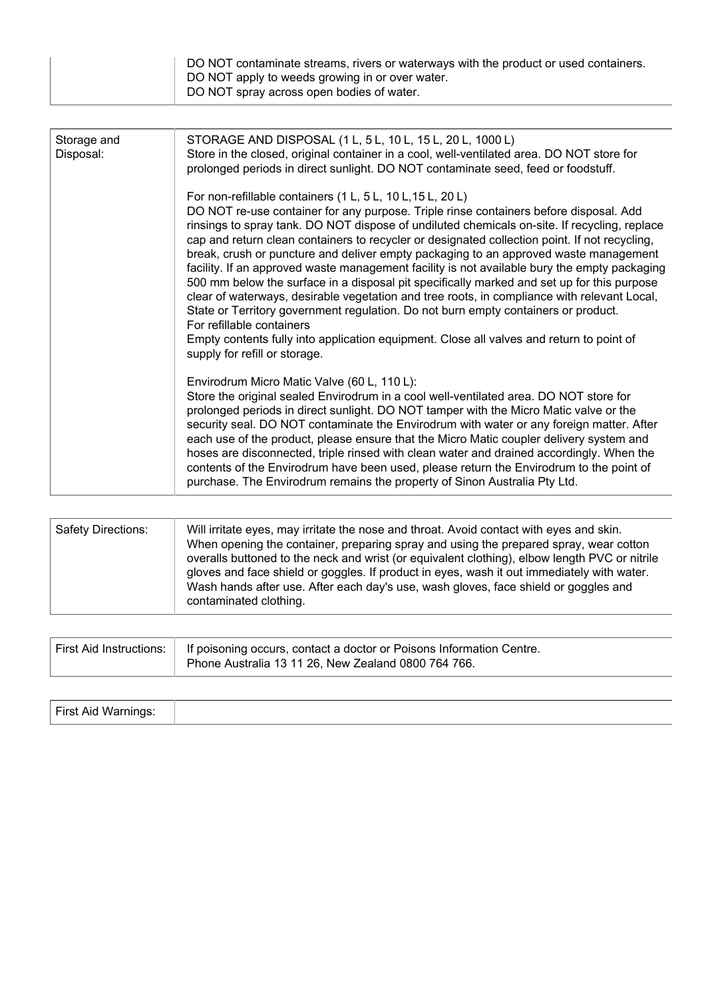| DO NOT contaminate streams, rivers or waterways with the product or used containers.<br>DO NOT apply to weeds growing in or over water.<br>DO NOT spray across open bodies of water. |
|--------------------------------------------------------------------------------------------------------------------------------------------------------------------------------------|
|--------------------------------------------------------------------------------------------------------------------------------------------------------------------------------------|

| Storage and<br>Disposal: | STORAGE AND DISPOSAL (1 L, 5 L, 10 L, 15 L, 20 L, 1000 L)<br>Store in the closed, original container in a cool, well-ventilated area. DO NOT store for<br>prolonged periods in direct sunlight. DO NOT contaminate seed, feed or foodstuff.                                                                                                                                                                                                                                                                                                                                                                                                                                                                                                                                                                                                                                                                                                                                               |  |  |  |  |
|--------------------------|-------------------------------------------------------------------------------------------------------------------------------------------------------------------------------------------------------------------------------------------------------------------------------------------------------------------------------------------------------------------------------------------------------------------------------------------------------------------------------------------------------------------------------------------------------------------------------------------------------------------------------------------------------------------------------------------------------------------------------------------------------------------------------------------------------------------------------------------------------------------------------------------------------------------------------------------------------------------------------------------|--|--|--|--|
|                          | For non-refillable containers (1 L, 5 L, 10 L, 15 L, 20 L)<br>DO NOT re-use container for any purpose. Triple rinse containers before disposal. Add<br>rinsings to spray tank. DO NOT dispose of undiluted chemicals on-site. If recycling, replace<br>cap and return clean containers to recycler or designated collection point. If not recycling,<br>break, crush or puncture and deliver empty packaging to an approved waste management<br>facility. If an approved waste management facility is not available bury the empty packaging<br>500 mm below the surface in a disposal pit specifically marked and set up for this purpose<br>clear of waterways, desirable vegetation and tree roots, in compliance with relevant Local,<br>State or Territory government regulation. Do not burn empty containers or product.<br>For refillable containers<br>Empty contents fully into application equipment. Close all valves and return to point of<br>supply for refill or storage. |  |  |  |  |
|                          | Envirodrum Micro Matic Valve (60 L, 110 L):<br>Store the original sealed Envirodrum in a cool well-ventilated area. DO NOT store for<br>prolonged periods in direct sunlight. DO NOT tamper with the Micro Matic valve or the<br>security seal. DO NOT contaminate the Envirodrum with water or any foreign matter. After<br>each use of the product, please ensure that the Micro Matic coupler delivery system and<br>hoses are disconnected, triple rinsed with clean water and drained accordingly. When the<br>contents of the Envirodrum have been used, please return the Envirodrum to the point of<br>purchase. The Envirodrum remains the property of Sinon Australia Pty Ltd.                                                                                                                                                                                                                                                                                                  |  |  |  |  |

| Safety Directions:<br>Will irritate eyes, may irritate the nose and throat. Avoid contact with eyes and skin.<br>When opening the container, preparing spray and using the prepared spray, wear cotton<br>overalls buttoned to the neck and wrist (or equivalent clothing), elbow length PVC or nitrile<br>gloves and face shield or goggles. If product in eyes, wash it out immediately with water.<br>Wash hands after use. After each day's use, wash gloves, face shield or goggles and<br>contaminated clothing. |
|------------------------------------------------------------------------------------------------------------------------------------------------------------------------------------------------------------------------------------------------------------------------------------------------------------------------------------------------------------------------------------------------------------------------------------------------------------------------------------------------------------------------|
|------------------------------------------------------------------------------------------------------------------------------------------------------------------------------------------------------------------------------------------------------------------------------------------------------------------------------------------------------------------------------------------------------------------------------------------------------------------------------------------------------------------------|

| First Aid Instructions:   If poisoning occurs, contact a doctor or Poisons Information Centre.<br>Phone Australia 13 11 26, New Zealand 0800 764 766. |  |
|-------------------------------------------------------------------------------------------------------------------------------------------------------|--|
|-------------------------------------------------------------------------------------------------------------------------------------------------------|--|

| First Aid Warnings: |  |
|---------------------|--|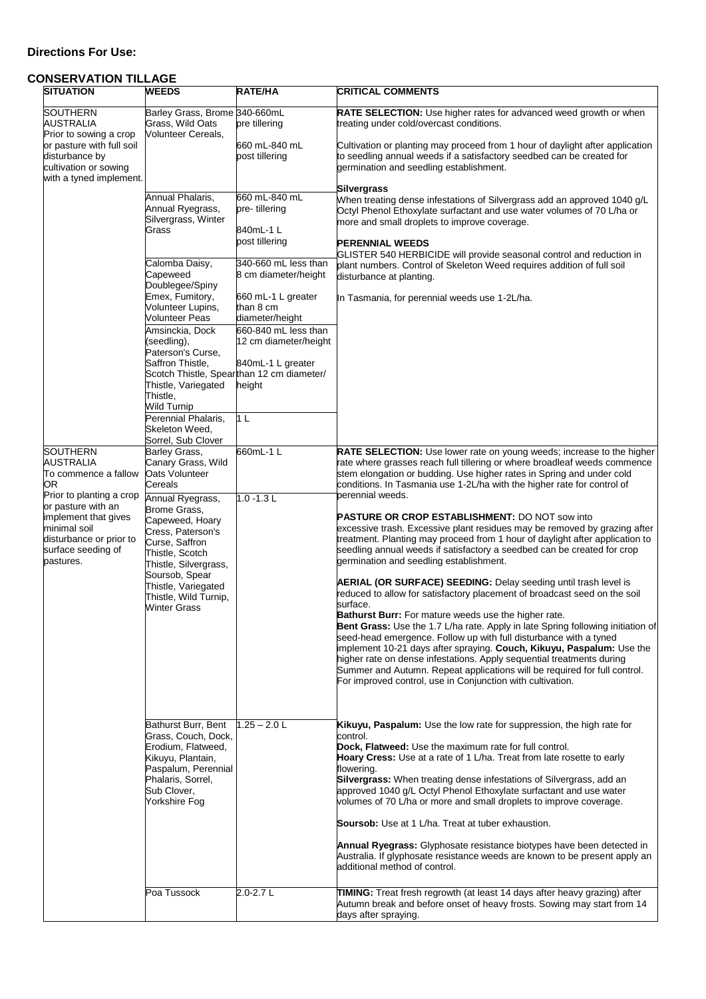## **Directions For Use:**

# **CONSERVATION TILLAGE**

| <b>SITUATION</b>                                                                                                                                          | <b>WEEDS</b>                                                                                                                                                                                                                           | RATE/HA                                                                                                                                                          | <b>CRITICAL COMMENTS</b>                                                                                                                                                                                                                                                                                                                                                                                                                                                                                                                                                                                                                                                                                                                                                                                                                                                                                                                                                                                                        |
|-----------------------------------------------------------------------------------------------------------------------------------------------------------|----------------------------------------------------------------------------------------------------------------------------------------------------------------------------------------------------------------------------------------|------------------------------------------------------------------------------------------------------------------------------------------------------------------|---------------------------------------------------------------------------------------------------------------------------------------------------------------------------------------------------------------------------------------------------------------------------------------------------------------------------------------------------------------------------------------------------------------------------------------------------------------------------------------------------------------------------------------------------------------------------------------------------------------------------------------------------------------------------------------------------------------------------------------------------------------------------------------------------------------------------------------------------------------------------------------------------------------------------------------------------------------------------------------------------------------------------------|
| <b>SOUTHERN</b><br>AUSTRALIA<br>Prior to sowing a crop<br>or pasture with full soil<br>disturbance by<br>cultivation or sowing<br>with a tyned implement. | Barley Grass, Brome 340-660mL<br>Grass, Wild Oats<br><b>Volunteer Cereals,</b><br>Annual Phalaris,                                                                                                                                     | pre tillering<br>660 mL-840 mL<br>post tillering<br>660 mL-840 mL                                                                                                | RATE SELECTION: Use higher rates for advanced weed growth or when<br>treating under cold/overcast conditions.<br>Cultivation or planting may proceed from 1 hour of daylight after application<br>to seedling annual weeds if a satisfactory seedbed can be created for<br>germination and seedling establishment.<br><b>Silvergrass</b>                                                                                                                                                                                                                                                                                                                                                                                                                                                                                                                                                                                                                                                                                        |
|                                                                                                                                                           | Annual Ryegrass,<br>Silvergrass, Winter<br>Grass                                                                                                                                                                                       | pre-tillering<br>840mL-1 L<br>post tillering                                                                                                                     | When treating dense infestations of Silvergrass add an approved 1040 g/L<br>Octyl Phenol Ethoxylate surfactant and use water volumes of 70 L/ha or<br>more and small droplets to improve coverage.<br><b>PERENNIAL WEEDS</b><br>GLISTER 540 HERBICIDE will provide seasonal control and reduction in                                                                                                                                                                                                                                                                                                                                                                                                                                                                                                                                                                                                                                                                                                                            |
|                                                                                                                                                           | Calomba Daisy,<br>Capeweed<br>Doublegee/Spiny<br>Emex, Fumitory,                                                                                                                                                                       | 340-660 mL less than<br>8 cm diameter/height<br>660 mL-1 L greater                                                                                               | plant numbers. Control of Skeleton Weed requires addition of full soil<br>disturbance at planting.<br>In Tasmania, for perennial weeds use 1-2L/ha.                                                                                                                                                                                                                                                                                                                                                                                                                                                                                                                                                                                                                                                                                                                                                                                                                                                                             |
|                                                                                                                                                           | Volunteer Lupins,<br><b>Volunteer Peas</b><br>Amsinckia, Dock<br>(seedling),<br>Paterson's Curse,<br>Saffron Thistle,<br>Thistle, Variegated<br>Thistle,<br>Wild Turnip<br>Perennial Phalaris,<br>Skeleton Weed,<br>Sorrel, Sub Clover | than 8 cm<br>diameter/height<br>660-840 mL less than<br>12 cm diameter/height<br>840mL-1 L greater<br>Scotch Thistle, Spearthan 12 cm diameter/<br>height<br>1 L |                                                                                                                                                                                                                                                                                                                                                                                                                                                                                                                                                                                                                                                                                                                                                                                                                                                                                                                                                                                                                                 |
| <b>SOUTHERN</b><br>AUSTRALIA<br>To commence a fallow<br>OR<br>Prior to planting a crop                                                                    | Barley Grass,<br>Canary Grass, Wild<br>Oats Volunteer<br>Cereals<br>Annual Ryegrass,                                                                                                                                                   | 660mL-1 L<br>$1.0 - 1.3 L$                                                                                                                                       | <b>RATE SELECTION:</b> Use lower rate on young weeds; increase to the higher<br>rate where grasses reach full tillering or where broadleaf weeds commence<br>stem elongation or budding. Use higher rates in Spring and under cold<br>conditions. In Tasmania use 1-2L/ha with the higher rate for control of<br>perennial weeds.                                                                                                                                                                                                                                                                                                                                                                                                                                                                                                                                                                                                                                                                                               |
| or pasture with an<br>implement that gives<br>minimal soil<br>disturbance or prior to<br>surface seeding of<br>pastures.                                  | Brome Grass,<br>Capeweed, Hoary<br>Cress, Paterson's<br>Curse, Saffron<br>Thistle, Scotch<br>Thistle, Silvergrass,<br>Soursob, Spear<br>Thistle, Variegated<br>Thistle, Wild Turnip,<br>Winter Grass                                   |                                                                                                                                                                  | <b>PASTURE OR CROP ESTABLISHMENT: DO NOT sow into</b><br>excessive trash. Excessive plant residues may be removed by grazing after<br>treatment. Planting may proceed from 1 hour of daylight after application to<br>seedling annual weeds if satisfactory a seedbed can be created for crop<br>germination and seedling establishment.<br><b>AERIAL (OR SURFACE) SEEDING:</b> Delay seeding until trash level is<br>reduced to allow for satisfactory placement of broadcast seed on the soil<br>surface.<br><b>Bathurst Burr:</b> For mature weeds use the higher rate.<br>Bent Grass: Use the 1.7 L/ha rate. Apply in late Spring following initiation of<br>seed-head emergence. Follow up with full disturbance with a tyned<br>implement 10-21 days after spraying. Couch, Kikuyu, Paspalum: Use the<br>higher rate on dense infestations. Apply sequential treatments during<br>Summer and Autumn. Repeat applications will be required for full control.<br>For improved control, use in Conjunction with cultivation. |
|                                                                                                                                                           | Bathurst Burr, Bent<br>Grass, Couch, Dock,<br>Erodium, Flatweed,<br>Kikuyu, Plantain,<br>Paspalum, Perennial<br>Phalaris, Sorrel,<br>Sub Clover,<br>Yorkshire Fog                                                                      | $1.25 - 2.0$ L                                                                                                                                                   | Kikuyu, Paspalum: Use the low rate for suppression, the high rate for<br>control.<br><b>Dock, Flatweed:</b> Use the maximum rate for full control.<br><b>Hoary Cress:</b> Use at a rate of 1 L/ha. Treat from late rosette to early<br>flowering.<br><b>Silvergrass:</b> When treating dense infestations of Silvergrass, add an<br>approved 1040 g/L Octyl Phenol Ethoxylate surfactant and use water<br>volumes of 70 L/ha or more and small droplets to improve coverage.<br><b>Soursob:</b> Use at 1 L/ha. Treat at tuber exhaustion.<br><b>Annual Ryegrass:</b> Glyphosate resistance biotypes have been detected in<br>Australia. If glyphosate resistance weeds are known to be present apply an<br>additional method of control.                                                                                                                                                                                                                                                                                        |
|                                                                                                                                                           | Poa Tussock                                                                                                                                                                                                                            | 2.0-2.7L                                                                                                                                                         | TIMING: Treat fresh regrowth (at least 14 days after heavy grazing) after<br>Autumn break and before onset of heavy frosts. Sowing may start from 14<br>days after spraying.                                                                                                                                                                                                                                                                                                                                                                                                                                                                                                                                                                                                                                                                                                                                                                                                                                                    |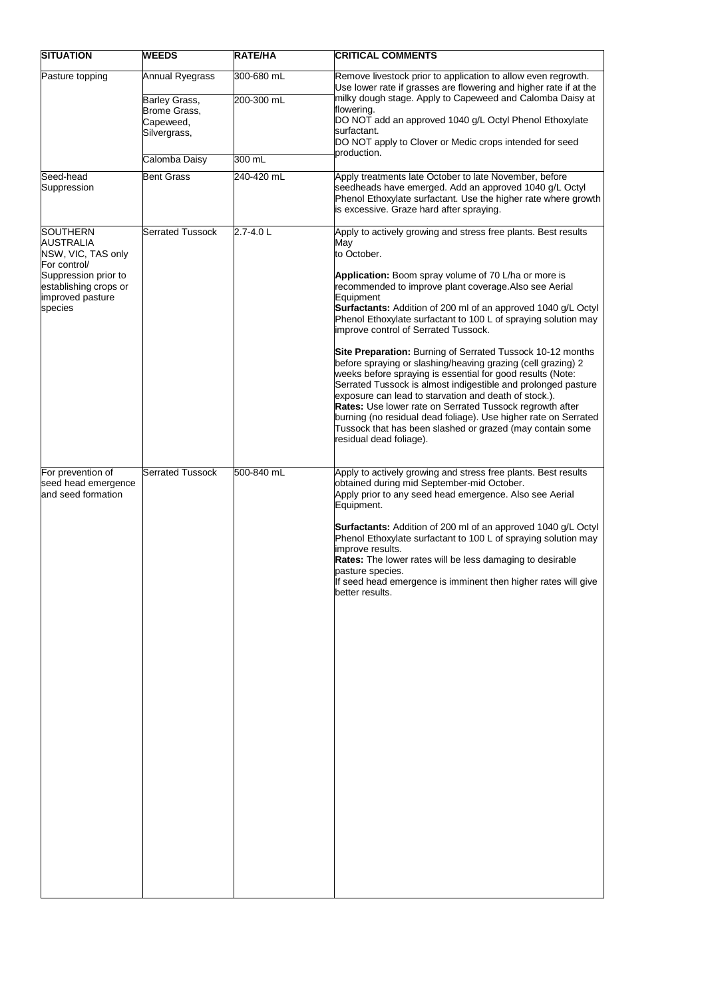| <b>SITUATION</b>                                                                                                                                          | <b>WEEDS</b>                                                                  | RATE/HA                  | <b>CRITICAL COMMENTS</b>                                                                                                                                                                                                                                                                                                                                                                                                                                                                                                                                                                                                                                                                                                                                                                                                                                                                                                                           |
|-----------------------------------------------------------------------------------------------------------------------------------------------------------|-------------------------------------------------------------------------------|--------------------------|----------------------------------------------------------------------------------------------------------------------------------------------------------------------------------------------------------------------------------------------------------------------------------------------------------------------------------------------------------------------------------------------------------------------------------------------------------------------------------------------------------------------------------------------------------------------------------------------------------------------------------------------------------------------------------------------------------------------------------------------------------------------------------------------------------------------------------------------------------------------------------------------------------------------------------------------------|
| Pasture topping                                                                                                                                           | Annual Ryegrass<br>Barley Grass,<br>Brome Grass,<br>Capeweed,<br>Silvergrass, | 300-680 mL<br>200-300 mL | Remove livestock prior to application to allow even regrowth.<br>Use lower rate if grasses are flowering and higher rate if at the<br>milky dough stage. Apply to Capeweed and Calomba Daisy at<br>flowering.<br>DO NOT add an approved 1040 g/L Octyl Phenol Ethoxylate<br>surfactant.<br>DO NOT apply to Clover or Medic crops intended for seed<br>production.                                                                                                                                                                                                                                                                                                                                                                                                                                                                                                                                                                                  |
|                                                                                                                                                           | Calomba Daisy                                                                 | 300 mL                   |                                                                                                                                                                                                                                                                                                                                                                                                                                                                                                                                                                                                                                                                                                                                                                                                                                                                                                                                                    |
| Seed-head<br>Suppression                                                                                                                                  | Bent Grass                                                                    | 240-420 mL               | Apply treatments late October to late November, before<br>seedheads have emerged. Add an approved 1040 g/L Octyl<br>Phenol Ethoxylate surfactant. Use the higher rate where growth<br>is excessive. Graze hard after spraying.                                                                                                                                                                                                                                                                                                                                                                                                                                                                                                                                                                                                                                                                                                                     |
| <b>SOUTHERN</b><br><b>AUSTRALIA</b><br>NSW, VIC, TAS only<br>For control/<br>Suppression prior to<br>establishing crops or<br>improved pasture<br>species | <b>Serrated Tussock</b>                                                       | 2.7-4.0L                 | Apply to actively growing and stress free plants. Best results<br>May<br>to October.<br>Application: Boom spray volume of 70 L/ha or more is<br>recommended to improve plant coverage. Also see Aerial<br>Equipment<br>Surfactants: Addition of 200 ml of an approved 1040 g/L Octyl<br>Phenol Ethoxylate surfactant to 100 L of spraying solution may<br>improve control of Serrated Tussock.<br><b>Site Preparation:</b> Burning of Serrated Tussock 10-12 months<br>before spraying or slashing/heaving grazing (cell grazing) 2<br>weeks before spraying is essential for good results (Note:<br>Serrated Tussock is almost indigestible and prolonged pasture<br>exposure can lead to starvation and death of stock.).<br>Rates: Use lower rate on Serrated Tussock regrowth after<br>burning (no residual dead foliage). Use higher rate on Serrated<br>Tussock that has been slashed or grazed (may contain some<br>residual dead foliage). |
| For prevention of<br>seed head emergence<br>and seed formation                                                                                            | <b>Serrated Tussock</b>                                                       | 500-840 mL               | Apply to actively growing and stress free plants. Best results<br>obtained during mid September-mid October.<br>Apply prior to any seed head emergence. Also see Aerial<br>Equipment.<br>Surfactants: Addition of 200 ml of an approved 1040 g/L Octyl<br>Phenol Ethoxylate surfactant to 100 L of spraying solution may<br>improve results.<br><b>Rates:</b> The lower rates will be less damaging to desirable<br>pasture species.<br>If seed head emergence is imminent then higher rates will give<br>better results.                                                                                                                                                                                                                                                                                                                                                                                                                          |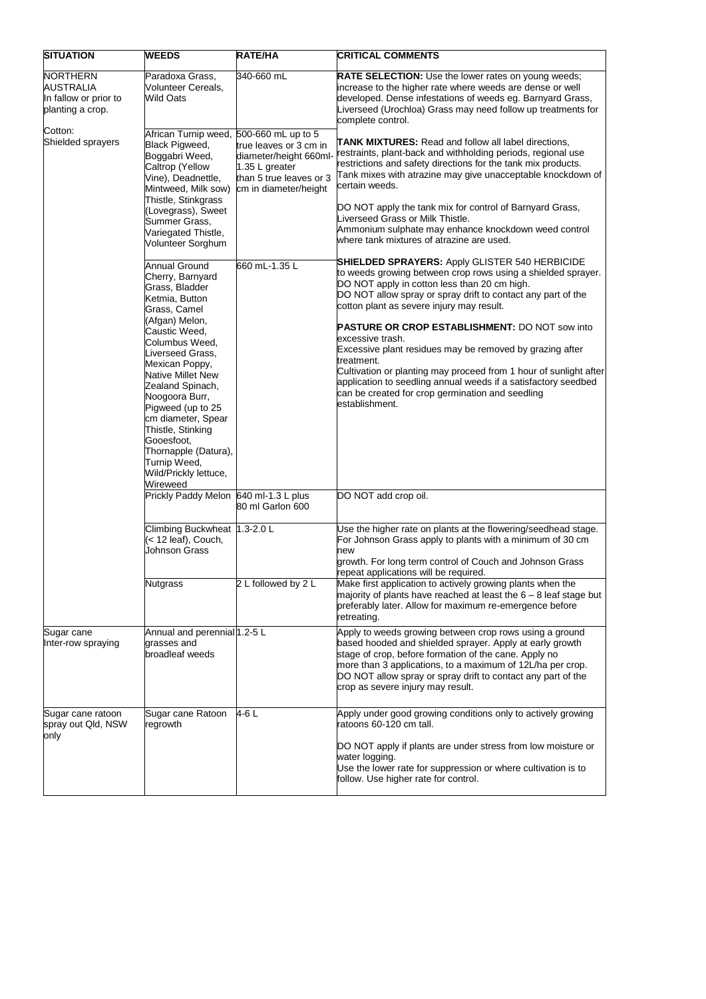| <b>SITUATION</b>                                                   | <b>WEEDS</b>                                                                                                                                                                                                                                                                                                                                                                                           | RATE/HA                                                                                                                | <b>CRITICAL COMMENTS</b>                                                                                                                                                                                                                                                                                                                                                                                                                                                                                                                                                                                                                               |
|--------------------------------------------------------------------|--------------------------------------------------------------------------------------------------------------------------------------------------------------------------------------------------------------------------------------------------------------------------------------------------------------------------------------------------------------------------------------------------------|------------------------------------------------------------------------------------------------------------------------|--------------------------------------------------------------------------------------------------------------------------------------------------------------------------------------------------------------------------------------------------------------------------------------------------------------------------------------------------------------------------------------------------------------------------------------------------------------------------------------------------------------------------------------------------------------------------------------------------------------------------------------------------------|
| NORTHERN<br>AUSTRALIA<br>In fallow or prior to<br>planting a crop. | Paradoxa Grass,<br>Volunteer Cereals,<br>Wild Oats                                                                                                                                                                                                                                                                                                                                                     | 340-660 mL                                                                                                             | RATE SELECTION: Use the lower rates on young weeds;<br>increase to the higher rate where weeds are dense or well<br>developed. Dense infestations of weeds eg. Barnyard Grass,<br>Liverseed (Urochloa) Grass may need follow up treatments for<br>complete control.                                                                                                                                                                                                                                                                                                                                                                                    |
| Cotton:<br>Shielded sprayers                                       | African Turnip weed, 500-660 mL up to 5<br>Black Pigweed,<br>Boggabri Weed,<br>Caltrop (Yellow<br>Vine), Deadnettle,<br>Mintweed, Milk sow)<br>Thistle, Stinkgrass<br>(Lovegrass), Sweet<br>Summer Grass,<br>Variegated Thistle,<br>Volunteer Sorghum                                                                                                                                                  | true leaves or 3 cm in<br>diameter/height 660ml-<br>1.35 L greater<br>than 5 true leaves or 3<br>cm in diameter/height | <b>TANK MIXTURES:</b> Read and follow all label directions,<br>restraints, plant-back and withholding periods, regional use<br>restrictions and safety directions for the tank mix products.<br>Tank mixes with atrazine may give unacceptable knockdown of<br>certain weeds.<br>DO NOT apply the tank mix for control of Barnyard Grass,<br>Liverseed Grass or Milk Thistle.<br>Ammonium sulphate may enhance knockdown weed control<br>where tank mixtures of atrazine are used.                                                                                                                                                                     |
|                                                                    | Annual Ground<br>Cherry, Barnyard<br>Grass, Bladder<br>Ketmia, Button<br>Grass, Camel<br>(Afgan) Melon,<br>Caustic Weed,<br>Columbus Weed,<br>Liverseed Grass,<br>Mexican Poppy,<br>Native Millet New<br>Zealand Spinach,<br>Noogoora Burr,<br>Pigweed (up to 25<br>cm diameter, Spear<br>Thistle, Stinking<br>Gooesfoot,<br>Thornapple (Datura),<br>Turnip Weed,<br>Wild/Prickly lettuce,<br>Wireweed | 660 mL-1.35 L                                                                                                          | <b>SHIELDED SPRAYERS:</b> Apply GLISTER 540 HERBICIDE<br>to weeds growing between crop rows using a shielded sprayer.<br>DO NOT apply in cotton less than 20 cm high.<br>DO NOT allow spray or spray drift to contact any part of the<br>cotton plant as severe injury may result.<br><b>PASTURE OR CROP ESTABLISHMENT: DO NOT sow into</b><br>excessive trash.<br>Excessive plant residues may be removed by grazing after<br>treatment.<br>Cultivation or planting may proceed from 1 hour of sunlight after<br>application to seedling annual weeds if a satisfactory seedbed<br>can be created for crop germination and seedling<br>establishment. |
|                                                                    | Prickly Paddy Melon 640 ml-1.3 L plus                                                                                                                                                                                                                                                                                                                                                                  | 80 ml Garlon 600                                                                                                       | DO NOT add crop oil.                                                                                                                                                                                                                                                                                                                                                                                                                                                                                                                                                                                                                                   |
|                                                                    | Climbing Buckwheat 1.3-2.0 L<br>(< 12 leaf), Couch,<br><b>Johnson Grass</b>                                                                                                                                                                                                                                                                                                                            |                                                                                                                        | Use the higher rate on plants at the flowering/seedhead stage.<br>For Johnson Grass apply to plants with a minimum of 30 cm<br>new<br>growth. For long term control of Couch and Johnson Grass<br>repeat applications will be required.                                                                                                                                                                                                                                                                                                                                                                                                                |
|                                                                    | <b>Nutgrass</b>                                                                                                                                                                                                                                                                                                                                                                                        | 2 L followed by 2 L                                                                                                    | Make first application to actively growing plants when the<br>majority of plants have reached at least the $6 - 8$ leaf stage but<br>preferably later. Allow for maximum re-emergence before<br>retreating.                                                                                                                                                                                                                                                                                                                                                                                                                                            |
| Sugar cane<br>Inter-row spraying                                   | Annual and perennial 1.2-5 L<br>grasses and<br>broadleaf weeds                                                                                                                                                                                                                                                                                                                                         |                                                                                                                        | Apply to weeds growing between crop rows using a ground<br>based hooded and shielded sprayer. Apply at early growth<br>stage of crop, before formation of the cane. Apply no<br>more than 3 applications, to a maximum of 12L/ha per crop.<br>DO NOT allow spray or spray drift to contact any part of the<br>crop as severe injury may result.                                                                                                                                                                                                                                                                                                        |
| Sugar cane ratoon<br>spray out Qld, NSW<br>only                    | Sugar cane Ratoon<br>regrowth                                                                                                                                                                                                                                                                                                                                                                          | 4-6 L                                                                                                                  | Apply under good growing conditions only to actively growing<br>ratoons 60-120 cm tall.<br>DO NOT apply if plants are under stress from low moisture or<br>water logging.<br>Use the lower rate for suppression or where cultivation is to<br>follow. Use higher rate for control.                                                                                                                                                                                                                                                                                                                                                                     |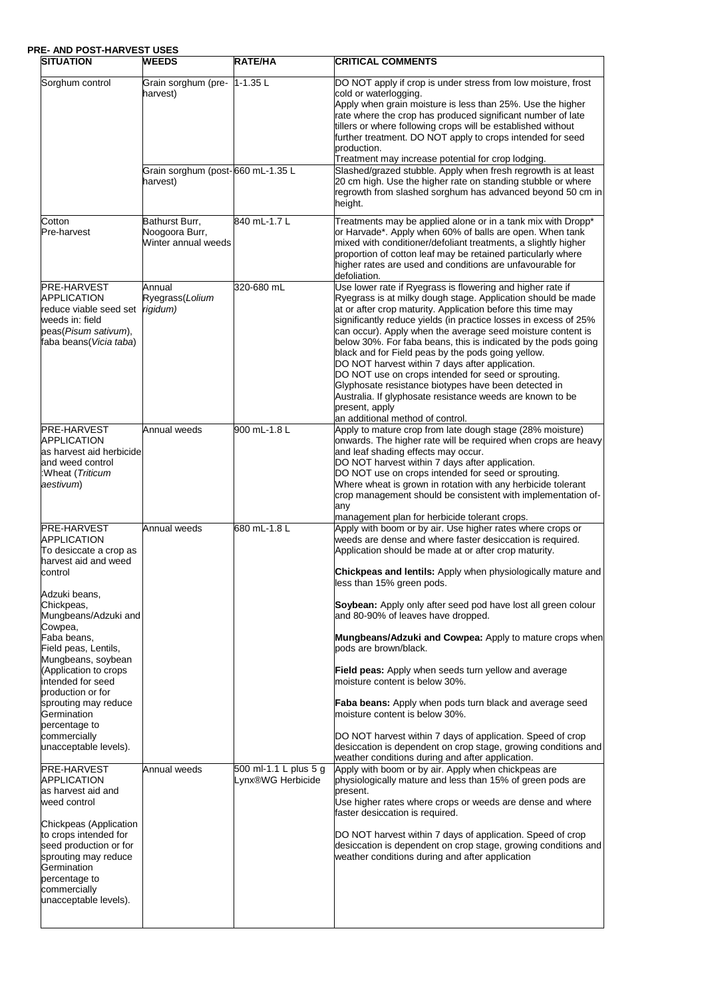### **PRE- AND POST-HARVEST USES**

| ,,,,,,,,,<br><b>SITUATION</b>                                                                                                                                                                                                                                           | <b>WEEDS</b>                                            | RATE/HA                                    | <b>CRITICAL COMMENTS</b>                                                                                                                                                                                                                                                                                                                                                                                                                                                                                                                                                                                                                                                                                                                  |
|-------------------------------------------------------------------------------------------------------------------------------------------------------------------------------------------------------------------------------------------------------------------------|---------------------------------------------------------|--------------------------------------------|-------------------------------------------------------------------------------------------------------------------------------------------------------------------------------------------------------------------------------------------------------------------------------------------------------------------------------------------------------------------------------------------------------------------------------------------------------------------------------------------------------------------------------------------------------------------------------------------------------------------------------------------------------------------------------------------------------------------------------------------|
| Sorghum control                                                                                                                                                                                                                                                         | Grain sorghum (pre-<br>harvest)                         | $1 - 1.35$ L                               | DO NOT apply if crop is under stress from low moisture, frost<br>cold or waterlogging.<br>Apply when grain moisture is less than 25%. Use the higher<br>rate where the crop has produced significant number of late<br>tillers or where following crops will be established without<br>further treatment. DO NOT apply to crops intended for seed<br>production.<br>Treatment may increase potential for crop lodging.                                                                                                                                                                                                                                                                                                                    |
|                                                                                                                                                                                                                                                                         | Grain sorghum (post-660 mL-1.35 L<br>harvest)           |                                            | Slashed/grazed stubble. Apply when fresh regrowth is at least<br>20 cm high. Use the higher rate on standing stubble or where<br>regrowth from slashed sorghum has advanced beyond 50 cm in<br>height.                                                                                                                                                                                                                                                                                                                                                                                                                                                                                                                                    |
| Cotton<br>Pre-harvest                                                                                                                                                                                                                                                   | Bathurst Burr,<br>Noogoora Burr,<br>Winter annual weeds | 840 mL-1.7 L                               | Treatments may be applied alone or in a tank mix with Dropp*<br>or Harvade*. Apply when 60% of balls are open. When tank<br>mixed with conditioner/defoliant treatments, a slightly higher<br>proportion of cotton leaf may be retained particularly where<br>higher rates are used and conditions are unfavourable for<br>defoliation.                                                                                                                                                                                                                                                                                                                                                                                                   |
| <b>PRE-HARVEST</b><br>APPLICATION<br>reduce viable seed set<br>weeds in: field<br>peas(Pisum sativum),<br>faba beans (Vicia taba)                                                                                                                                       | Annual<br>Ryegrass(Lolium<br>rigidum)                   | 320-680 mL                                 | Use lower rate if Ryegrass is flowering and higher rate if<br>Ryegrass is at milky dough stage. Application should be made<br>at or after crop maturity. Application before this time may<br>significantly reduce yields (in practice losses in excess of 25%<br>can occur). Apply when the average seed moisture content is<br>below 30%. For faba beans, this is indicated by the pods going<br>black and for Field peas by the pods going yellow.<br>DO NOT harvest within 7 days after application.<br>DO NOT use on crops intended for seed or sprouting.<br>Glyphosate resistance biotypes have been detected in<br>Australia. If glyphosate resistance weeds are known to be<br>present, apply<br>an additional method of control. |
| <b>PRE-HARVEST</b><br><b>APPLICATION</b><br>as harvest aid herbicide<br>and weed control<br>:Wheat (Triticum<br>aestivum)                                                                                                                                               | Annual weeds                                            | 900 mL-1.8 L                               | Apply to mature crop from late dough stage (28% moisture)<br>onwards. The higher rate will be required when crops are heavy<br>and leaf shading effects may occur.<br>DO NOT harvest within 7 days after application.<br>DO NOT use on crops intended for seed or sprouting.<br>Where wheat is grown in rotation with any herbicide tolerant<br>crop management should be consistent with implementation of-<br>any<br>management plan for herbicide tolerant crops.                                                                                                                                                                                                                                                                      |
| PRE-HARVEST<br><b>APPLICATION</b><br>To desiccate a crop as<br>harvest aid and weed<br>control                                                                                                                                                                          | Annual weeds                                            | 680 mL-1.8 L                               | Apply with boom or by air. Use higher rates where crops or<br>weeds are dense and where faster desiccation is required.<br>Application should be made at or after crop maturity.<br><b>Chickpeas and lentils:</b> Apply when physiologically mature and                                                                                                                                                                                                                                                                                                                                                                                                                                                                                   |
| Adzuki beans,<br>Chickpeas,<br>Mungbeans/Adzuki and<br>Cowpea,<br>Faba beans,<br>Field peas, Lentils,<br>Mungbeans, soybean                                                                                                                                             |                                                         |                                            | less than 15% green pods.<br>Soybean: Apply only after seed pod have lost all green colour<br>and 80-90% of leaves have dropped.<br>Mungbeans/Adzuki and Cowpea: Apply to mature crops when<br>pods are brown/black.                                                                                                                                                                                                                                                                                                                                                                                                                                                                                                                      |
| (Application to crops<br>intended for seed<br>production or for<br>sprouting may reduce<br>Germination<br>percentage to<br>commercially                                                                                                                                 |                                                         |                                            | <b>Field peas:</b> Apply when seeds turn yellow and average<br>moisture content is below 30%.<br><b>Faba beans:</b> Apply when pods turn black and average seed<br>moisture content is below 30%.<br>DO NOT harvest within 7 days of application. Speed of crop                                                                                                                                                                                                                                                                                                                                                                                                                                                                           |
| unacceptable levels).<br>PRE-HARVEST<br>APPLICATION<br>as harvest aid and<br>weed control<br>Chickpeas (Application<br>to crops intended for<br>seed production or for<br>sprouting may reduce<br>Germination<br>percentage to<br>commercially<br>unacceptable levels). | Annual weeds                                            | 500 ml-1.1 L plus 5 g<br>Lynx®WG Herbicide | desiccation is dependent on crop stage, growing conditions and<br>weather conditions during and after application.<br>Apply with boom or by air. Apply when chickpeas are<br>physiologically mature and less than 15% of green pods are<br>present.<br>Use higher rates where crops or weeds are dense and where<br>faster desiccation is required.<br>DO NOT harvest within 7 days of application. Speed of crop<br>desiccation is dependent on crop stage, growing conditions and<br>weather conditions during and after application                                                                                                                                                                                                    |
|                                                                                                                                                                                                                                                                         |                                                         |                                            |                                                                                                                                                                                                                                                                                                                                                                                                                                                                                                                                                                                                                                                                                                                                           |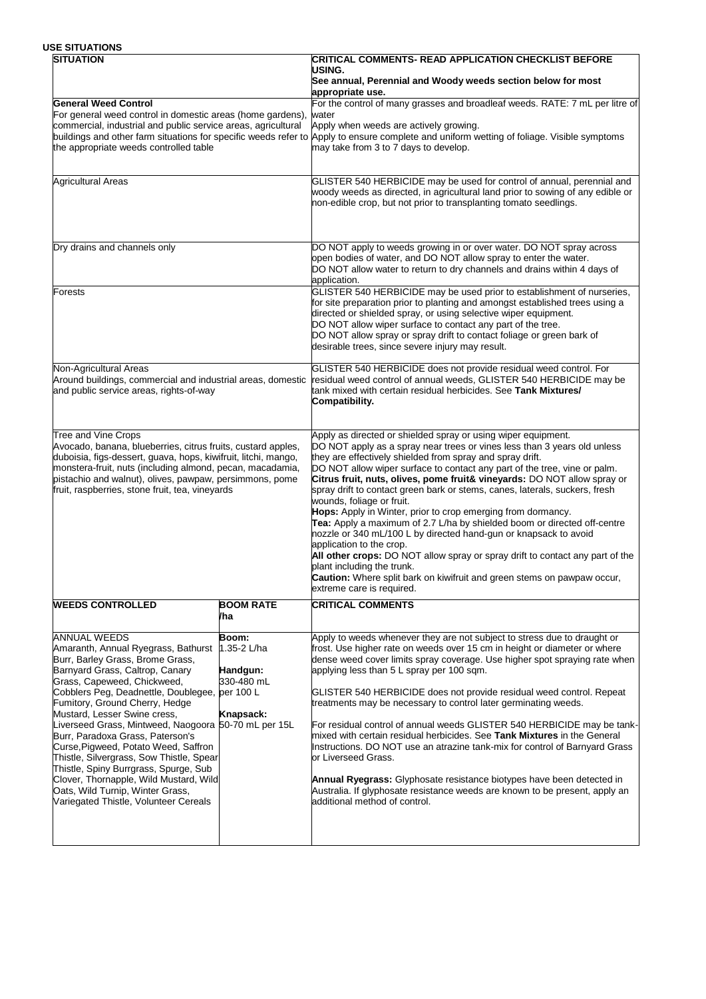### **USE SITUATIONS**

| <b>SITUATION</b>                                                                                                                                                                                                                                                                                                                                                                                                                                                                                                                                                                                                                                 |                                              | <b>CRITICAL COMMENTS- READ APPLICATION CHECKLIST BEFORE</b>                                                                                                                                                                                                                                                                                                                                                                                                                                                                                                                                                                                                                                                                                                                                                                                                                                                                                    |
|--------------------------------------------------------------------------------------------------------------------------------------------------------------------------------------------------------------------------------------------------------------------------------------------------------------------------------------------------------------------------------------------------------------------------------------------------------------------------------------------------------------------------------------------------------------------------------------------------------------------------------------------------|----------------------------------------------|------------------------------------------------------------------------------------------------------------------------------------------------------------------------------------------------------------------------------------------------------------------------------------------------------------------------------------------------------------------------------------------------------------------------------------------------------------------------------------------------------------------------------------------------------------------------------------------------------------------------------------------------------------------------------------------------------------------------------------------------------------------------------------------------------------------------------------------------------------------------------------------------------------------------------------------------|
|                                                                                                                                                                                                                                                                                                                                                                                                                                                                                                                                                                                                                                                  |                                              | USING.<br>See annual, Perennial and Woody weeds section below for most<br>appropriate use.                                                                                                                                                                                                                                                                                                                                                                                                                                                                                                                                                                                                                                                                                                                                                                                                                                                     |
| <b>General Weed Control</b><br>For general weed control in domestic areas (home gardens),<br>commercial, industrial and public service areas, agricultural<br>the appropriate weeds controlled table                                                                                                                                                                                                                                                                                                                                                                                                                                             |                                              | For the control of many grasses and broadleaf weeds. RATE: 7 mL per litre of<br>water<br>Apply when weeds are actively growing.<br>buildings and other farm situations for specific weeds refer to Apply to ensure complete and uniform wetting of foliage. Visible symptoms<br>may take from 3 to 7 days to develop.                                                                                                                                                                                                                                                                                                                                                                                                                                                                                                                                                                                                                          |
| <b>Agricultural Areas</b>                                                                                                                                                                                                                                                                                                                                                                                                                                                                                                                                                                                                                        |                                              | GLISTER 540 HERBICIDE may be used for control of annual, perennial and<br>woody weeds as directed, in agricultural land prior to sowing of any edible or<br>non-edible crop, but not prior to transplanting tomato seedlings.                                                                                                                                                                                                                                                                                                                                                                                                                                                                                                                                                                                                                                                                                                                  |
| Dry drains and channels only                                                                                                                                                                                                                                                                                                                                                                                                                                                                                                                                                                                                                     |                                              | DO NOT apply to weeds growing in or over water. DO NOT spray across<br>open bodies of water, and DO NOT allow spray to enter the water.<br>DO NOT allow water to return to dry channels and drains within 4 days of<br>application.                                                                                                                                                                                                                                                                                                                                                                                                                                                                                                                                                                                                                                                                                                            |
| <b>Forests</b>                                                                                                                                                                                                                                                                                                                                                                                                                                                                                                                                                                                                                                   |                                              | GLISTER 540 HERBICIDE may be used prior to establishment of nurseries,<br>for site preparation prior to planting and amongst established trees using a<br>directed or shielded spray, or using selective wiper equipment.<br>DO NOT allow wiper surface to contact any part of the tree.<br>DO NOT allow spray or spray drift to contact foliage or green bark of<br>desirable trees, since severe injury may result.                                                                                                                                                                                                                                                                                                                                                                                                                                                                                                                          |
| Non-Agricultural Areas<br>Around buildings, commercial and industrial areas, domestic<br>and public service areas, rights-of-way                                                                                                                                                                                                                                                                                                                                                                                                                                                                                                                 |                                              | GLISTER 540 HERBICIDE does not provide residual weed control. For<br>residual weed control of annual weeds, GLISTER 540 HERBICIDE may be<br>tank mixed with certain residual herbicides. See Tank Mixtures/<br>Compatibility.                                                                                                                                                                                                                                                                                                                                                                                                                                                                                                                                                                                                                                                                                                                  |
| <b>Tree and Vine Crops</b><br>Avocado, banana, blueberries, citrus fruits, custard apples,<br>duboisia, figs-dessert, guava, hops, kiwifruit, litchi, mango,<br>monstera-fruit, nuts (including almond, pecan, macadamia,<br>pistachio and walnut), olives, pawpaw, persimmons, pome<br>fruit, raspberries, stone fruit, tea, vineyards                                                                                                                                                                                                                                                                                                          |                                              | Apply as directed or shielded spray or using wiper equipment.<br>DO NOT apply as a spray near trees or vines less than 3 years old unless<br>they are effectively shielded from spray and spray drift.<br>DO NOT allow wiper surface to contact any part of the tree, vine or palm.<br>Citrus fruit, nuts, olives, pome fruit& vineyards: DO NOT allow spray or<br>spray drift to contact green bark or stems, canes, laterals, suckers, fresh<br>wounds, foliage or fruit.<br>Hops: Apply in Winter, prior to crop emerging from dormancy.<br>Tea: Apply a maximum of 2.7 L/ha by shielded boom or directed off-centre<br>nozzle or 340 mL/100 L by directed hand-gun or knapsack to avoid<br>application to the crop.<br>All other crops: DO NOT allow spray or spray drift to contact any part of the<br>plant including the trunk.<br>Caution: Where split bark on kiwifruit and green stems on pawpaw occur,<br>extreme care is required. |
| <b>WEEDS CONTROLLED</b>                                                                                                                                                                                                                                                                                                                                                                                                                                                                                                                                                                                                                          | <b>BOOM RATE</b><br>/ha                      | <b>CRITICAL COMMENTS</b>                                                                                                                                                                                                                                                                                                                                                                                                                                                                                                                                                                                                                                                                                                                                                                                                                                                                                                                       |
| <b>ANNUAL WEEDS</b><br>Amaranth, Annual Ryegrass, Bathurst 1.35-2 L/ha<br>Burr, Barley Grass, Brome Grass,<br>Barnyard Grass, Caltrop, Canary<br>Grass, Capeweed, Chickweed,<br>Cobblers Peg, Deadnettle, Doublegee, per 100 L<br>Fumitory, Ground Cherry, Hedge<br>Mustard, Lesser Swine cress,<br>Liverseed Grass, Mintweed, Naogoora 50-70 mL per 15L<br>Burr, Paradoxa Grass, Paterson's<br>Curse, Pigweed, Potato Weed, Saffron<br>Thistle, Silvergrass, Sow Thistle, Spear<br>Thistle, Spiny Burrgrass, Spurge, Sub<br>Clover, Thornapple, Wild Mustard, Wild<br>Oats, Wild Turnip, Winter Grass,<br>Variegated Thistle, Volunteer Cereals | Boom:<br>Handgun:<br>330-480 mL<br>Knapsack: | Apply to weeds whenever they are not subject to stress due to draught or<br>frost. Use higher rate on weeds over 15 cm in height or diameter or where<br>dense weed cover limits spray coverage. Use higher spot spraying rate when<br>applying less than 5 L spray per 100 sqm.<br>GLISTER 540 HERBICIDE does not provide residual weed control. Repeat<br>treatments may be necessary to control later germinating weeds.<br>For residual control of annual weeds GLISTER 540 HERBICIDE may be tank-<br>mixed with certain residual herbicides. See Tank Mixtures in the General<br>Instructions. DO NOT use an atrazine tank-mix for control of Barnyard Grass<br>or Liverseed Grass.<br><b>Annual Ryegrass:</b> Glyphosate resistance biotypes have been detected in<br>Australia. If glyphosate resistance weeds are known to be present, apply an<br>additional method of control.                                                       |